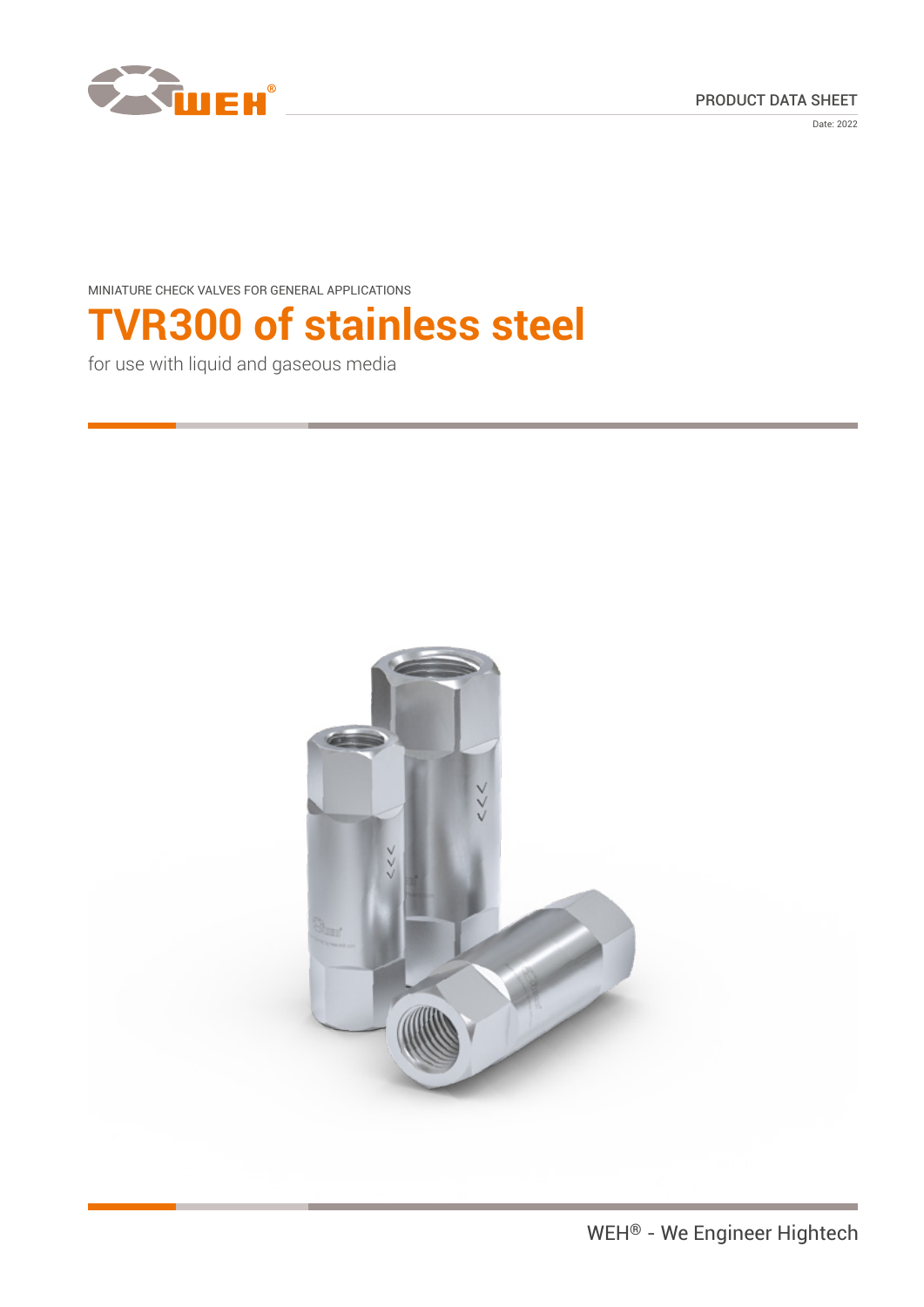





MINIATURE CHECK VALVES FOR GENERAL APPLICATIONS

# **TVR300 of stainless steel**

for use with liquid and gaseous media

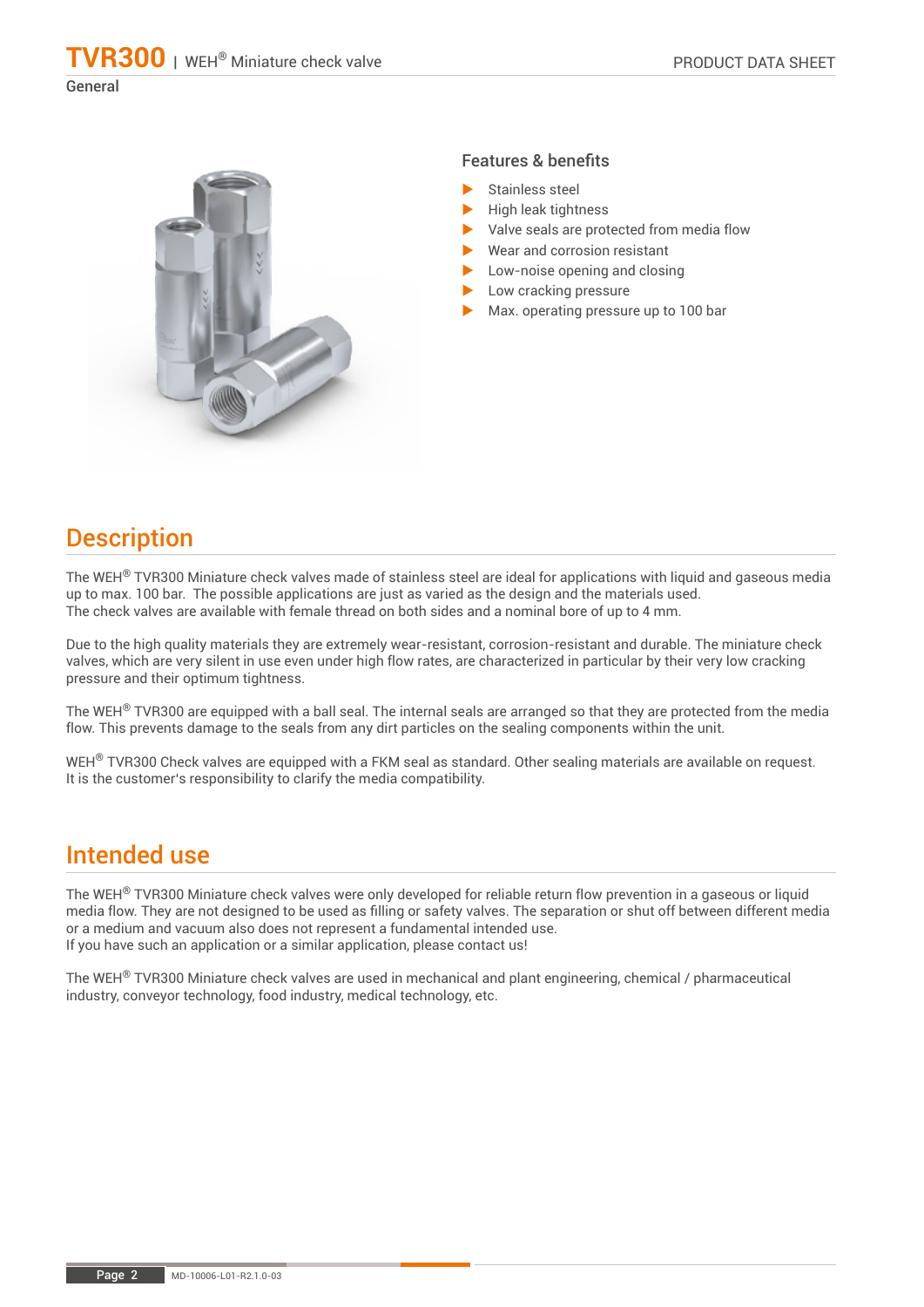### **TVR300** | WEH® Miniature check valve

General



### Features & benefits

- Stainless steel
- High leak tightness
- Valve seals are protected from media flow
- Wear and corrosion resistant
- Low-noise opening and closing
	- Low cracking pressure
	- Max. operating pressure up to 100 bar

# **Description**

The WEH® TVR300 Miniature check valves made of stainless steel are ideal for applications with liquid and gaseous media up to max. 100 bar. The possible applications are just as varied as the design and the materials used. The check valves are available with female thread on both sides and a nominal bore of up to 4 mm.

Due to the high quality materials they are extremely wear-resistant, corrosion-resistant and durable. The miniature check valves, which are very silent in use even under high flow rates, are characterized in particular by their very low cracking pressure and their optimum tightness.

The WEH<sup>®</sup> TVR300 are equipped with a ball seal. The internal seals are arranged so that they are protected from the media flow. This prevents damage to the seals from any dirt particles on the sealing components within the unit.

WEH<sup>®</sup> TVR300 Check valves are equipped with a FKM seal as standard. Other sealing materials are available on request. It is the customer's responsibility to clarify the media compatibility.

### Intended use

The WEH<sup>®</sup> TVR300 Miniature check valves were only developed for reliable return flow prevention in a gaseous or liquid media flow. They are not designed to be used as filling or safety valves. The separation or shut off between different media or a medium and vacuum also does not represent a fundamental intended use. If you have such an application or a similar application, please contact us!

The WEH® TVR300 Miniature check valves are used in mechanical and plant engineering, chemical / pharmaceutical industry, conveyor technology, food industry, medical technology, etc.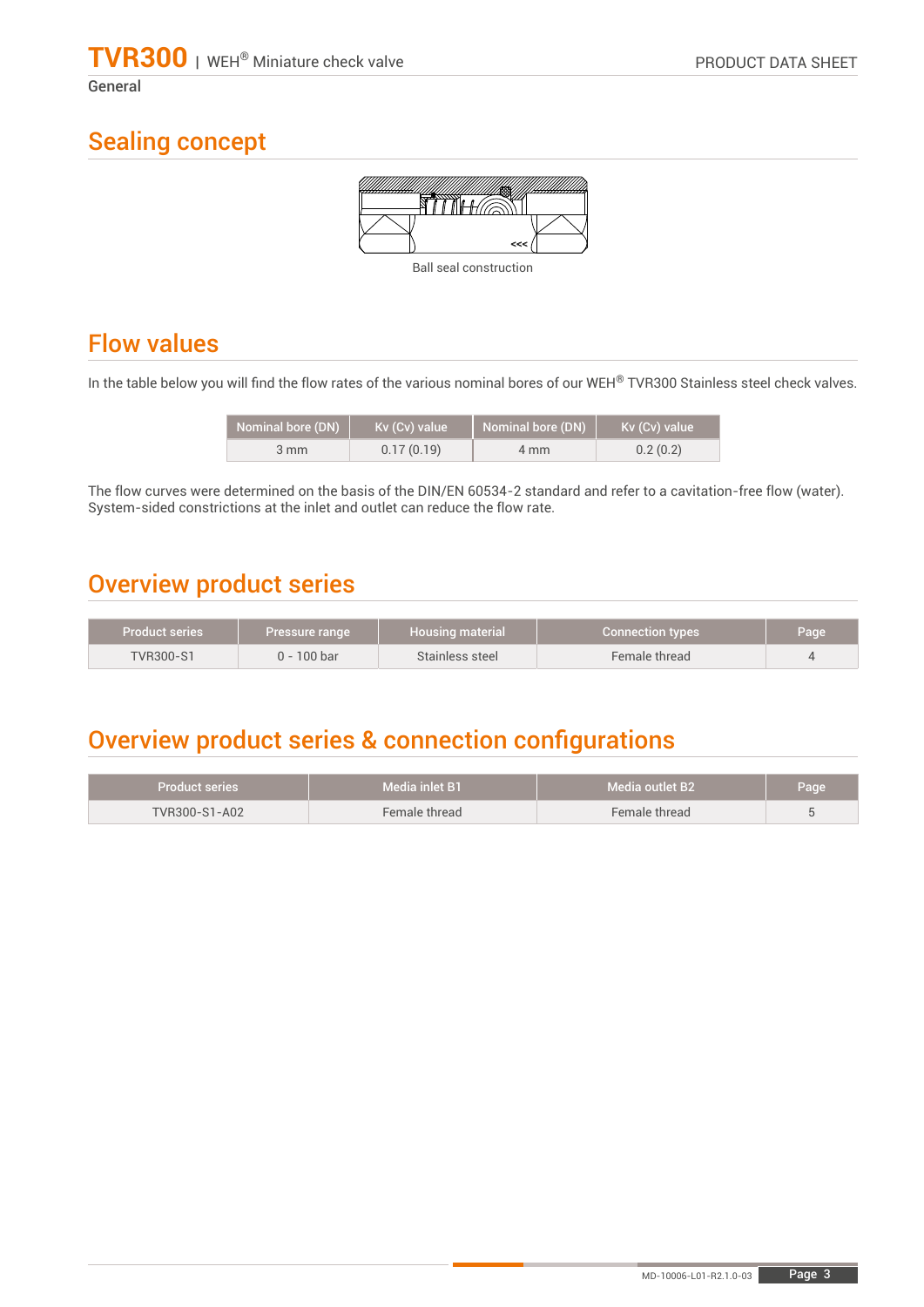General

# Sealing concept



Ball seal construction

# Flow values

In the table below you will find the flow rates of the various nominal bores of our WEH® TVR300 Stainless steel check valves.

| <b>Nominal bore (DN)</b> | Kv (Cv) value | Nominal bore (DN) | Kv (Cv) value |
|--------------------------|---------------|-------------------|---------------|
| $3 \, \text{mm}$         | 0.17(0.19)    | 4 mm              | 0.2(0.2)      |

The flow curves were determined on the basis of the DIN/EN 60534-2 standard and refer to a cavitation-free flow (water). System-sided constrictions at the inlet and outlet can reduce the flow rate.

# Overview product series

| Product series   | Pressure range | <b>Housing material</b> | <b>Connection types</b> | Page |
|------------------|----------------|-------------------------|-------------------------|------|
| <b>TVR300-S1</b> | $0 - 100$ bar  | Stainless steel         | Female thread           |      |

# Overview product series & connection configurations

| Product series | Media inlet B1 | <b>Media outlet B2</b> | Page |
|----------------|----------------|------------------------|------|
| TVR300-S1-A02  | Female thread  | Female thread          |      |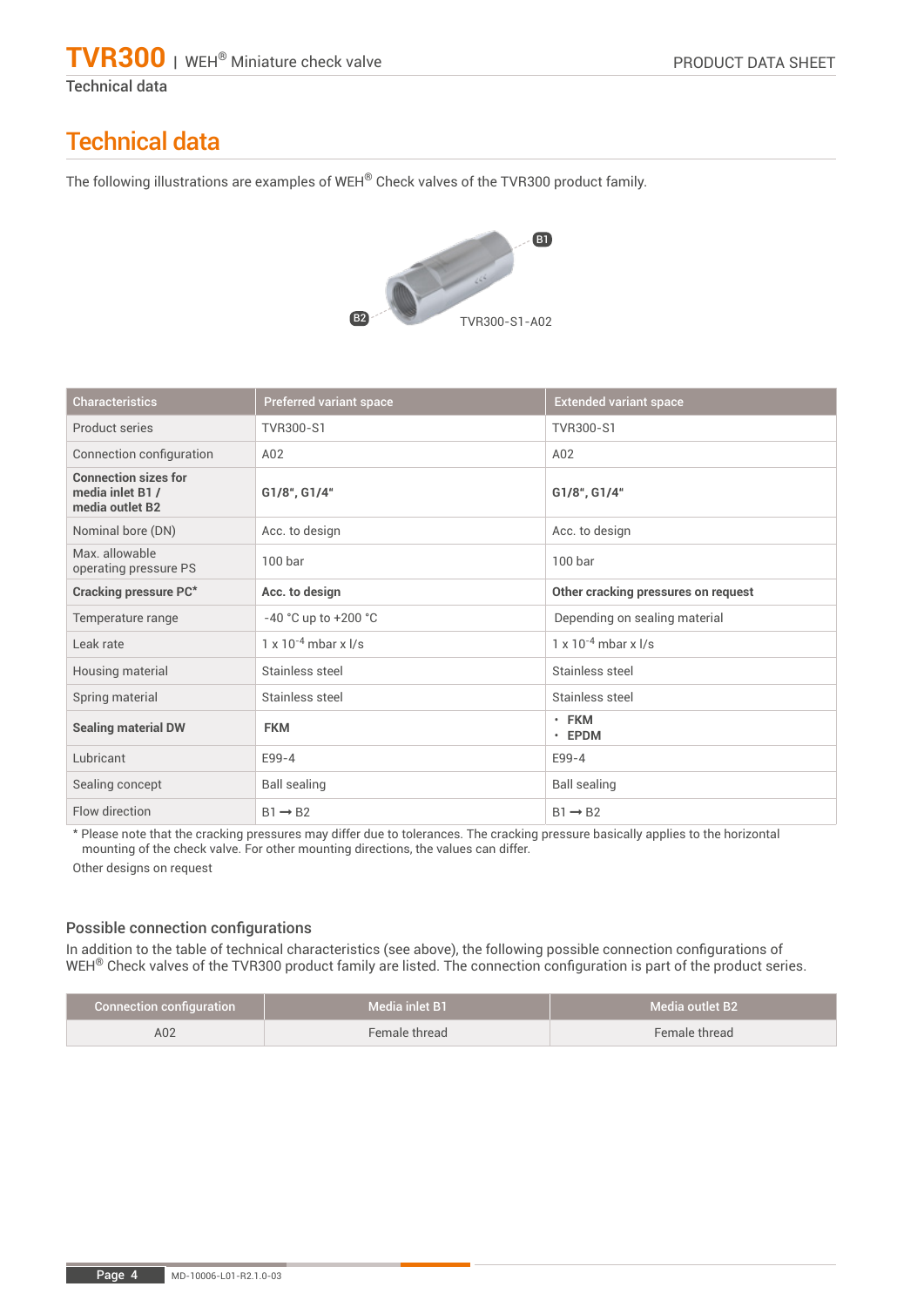Technical data

# Technical data

The following illustrations are examples of WEH® Check valves of the TVR300 product family.



| <b>Characteristics</b>                                            | Preferred variant space         | <b>Extended variant space</b>       |
|-------------------------------------------------------------------|---------------------------------|-------------------------------------|
| Product series                                                    | TVR300-S1                       | TVR300-S1                           |
| Connection configuration                                          | A02                             | A02                                 |
| <b>Connection sizes for</b><br>media inlet B1/<br>media outlet B2 | G1/8", G1/4"                    | G1/8", G1/4"                        |
| Nominal bore (DN)                                                 | Acc. to design                  | Acc. to design                      |
| Max. allowable<br>operating pressure PS                           | 100 <sub>bar</sub>              | 100 <sub>bar</sub>                  |
| <b>Cracking pressure PC*</b>                                      | Acc. to design                  | Other cracking pressures on request |
| Temperature range                                                 | $-40$ °C up to $+200$ °C        | Depending on sealing material       |
| Leak rate                                                         | $1 \times 10^{-4}$ mbar x $1/s$ | $1 \times 10^{-4}$ mbar x $1/s$     |
| Housing material                                                  | Stainless steel                 | Stainless steel                     |
| Spring material                                                   | Stainless steel                 | Stainless steel                     |
| <b>Sealing material DW</b>                                        | <b>FKM</b>                      | $\cdot$ FKM<br>$\cdot$ EPDM         |
| Lubricant                                                         | E99-4                           | E99-4                               |
| Sealing concept                                                   | <b>Ball sealing</b>             | <b>Ball sealing</b>                 |
| Flow direction                                                    | $B1 \rightarrow B2$             | $B1 \rightarrow B2$                 |

\* Please note that the cracking pressures may differ due to tolerances. The cracking pressure basically applies to the horizontal mounting of the check valve. For other mounting directions, the values can differ.

Other designs on request

### Possible connection configurations

In addition to the table of technical characteristics (see above), the following possible connection configurations of WEH<sup>®</sup> Check valves of the TVR300 product family are listed. The connection configuration is part of the product series.

| <b>Connection configuration</b> | Media inlet B1 | Media outlet B2 |
|---------------------------------|----------------|-----------------|
| A02                             | Female thread  | Female thread   |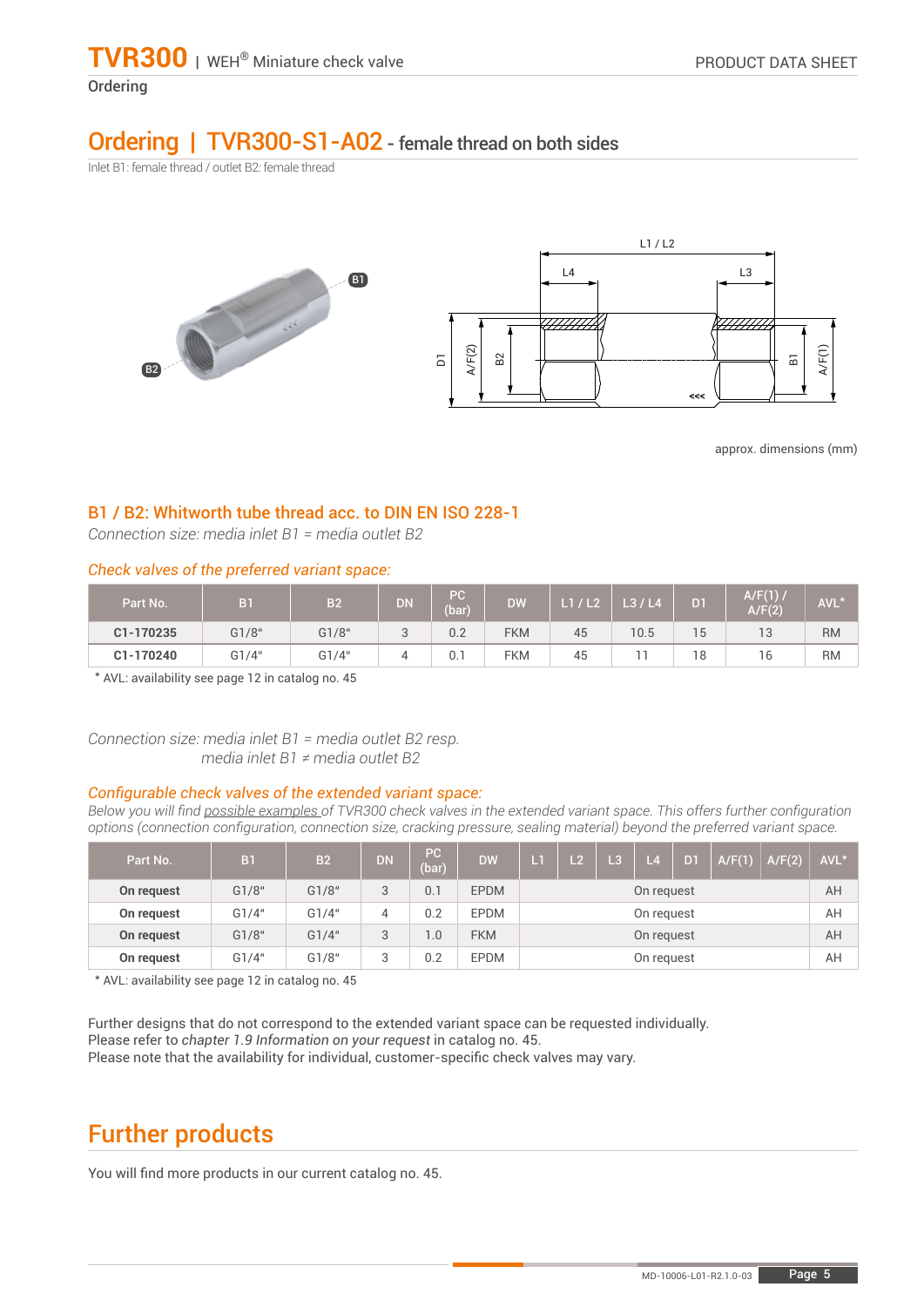### **Ordering**

### Ordering | TVR300-S1-A02 - female thread on both sides

Inlet B1: female thread / outlet B2: female thread



approx. dimensions (mm)

### B1 / B2: Whitworth tube thread acc. to DIN EN ISO 228-1

*Connection size: media inlet B1 = media outlet B2*

### *Check valves of the preferred variant space:*

| Part No.  | B <sub>1</sub> | B <sub>2</sub> | <b>DN</b>   | PC.<br>(bar) | <b>DW</b>  | L1 / L2 | L3/L4 | D <sub>1</sub> | A/F(1)<br>A/F(2) | AVL*      |
|-----------|----------------|----------------|-------------|--------------|------------|---------|-------|----------------|------------------|-----------|
| C1-170235 | G1/8"          | G1/8"          | $\sim$<br>◡ | 0.2          | <b>FKM</b> | 45      | 10.5  | 15             | 12<br>ıэ         | <b>RM</b> |
| C1-170240 | G1/4"          | G1/4"          | 4           | 0.1          | <b>FKM</b> | 45      |       | 18             | 16               | <b>RM</b> |

\* AVL: availability see page 12 in catalog no. 45

*Connection size: media inlet B1 = media outlet B2 resp. media inlet B1 ≠ media outlet B2*

#### *Configurable check valves of the extended variant space:*

Below you will find possible examples of TVR300 check valves in the extended variant space. This offers further configuration *options (connection configuration, connection size, cracking pressure, sealing material) beyond the preferred variant space.*

| Part No.   | B <sub>1</sub> | B <sub>2</sub> | <b>DN</b>    | PC<br>(bar) | <b>DW</b>   | Lī         | L2 | <b>/L3/</b> | 14 | D1 | A/F(1) | A/F(2) | AVL* |
|------------|----------------|----------------|--------------|-------------|-------------|------------|----|-------------|----|----|--------|--------|------|
| On request | G1/8"          | G1/8"          | $\mathbf{r}$ | 0.1         | <b>EPDM</b> | On request |    |             |    |    |        | AH     |      |
| On request | G1/4"          | G1/4"          | 4            | 0.2         | <b>EPDM</b> | On request |    |             |    |    |        | AH     |      |
| On request | G1/8"          | G1/4"          | $\mathbf{r}$ | 1.0         | <b>FKM</b>  | On request |    |             |    |    |        | AH     |      |
| On request | G1/4"          | G1/8"          |              | 0.2         | <b>EPDM</b> | On request |    |             |    |    | AH     |        |      |

\* AVL: availability see page 12 in catalog no. 45

Further designs that do not correspond to the extended variant space can be requested individually. Please refer to *chapter 1.9 Information on your request* in catalog no. 45. Please note that the availability for individual, customer-specific check valves may vary.

# Further products

You will find more products in our current catalog no. 45.